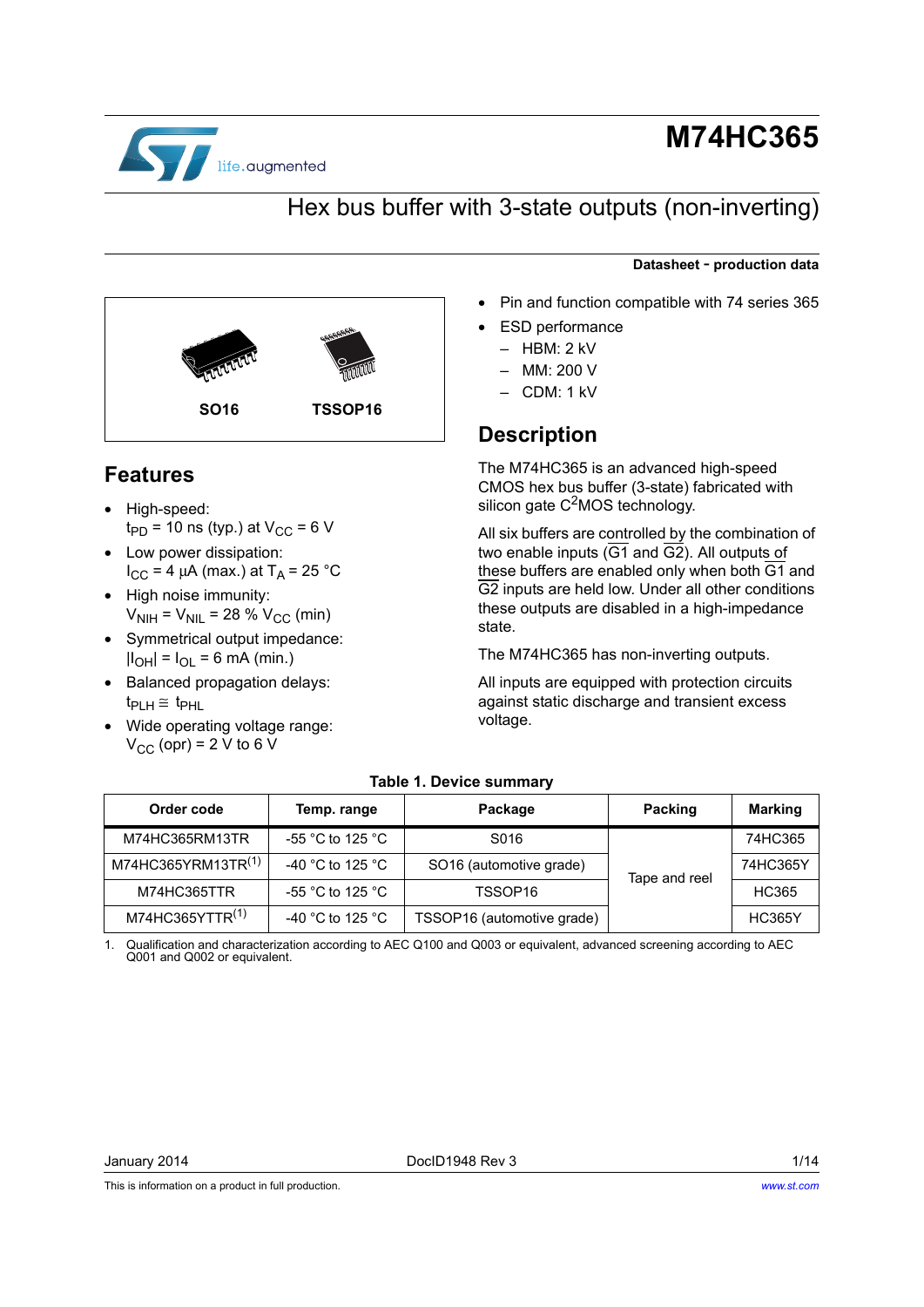

<span id="page-0-2"></span>**Features**

• High-speed:

 $t_{PD}$  = 10 ns (typ.) at  $V_{CC}$  = 6 V

**SO16 TSSOP16**

 $I_{CC}$  = 4 μA (max.) at T<sub>A</sub> = 25 °C

 $V_{\text{NIH}} = V_{\text{NIL}} = 28 \% V_{\text{CC}}$  (min) • Symmetrical output impedance:  $|I_{OH}| = I_{OL} = 6$  mA (min.) • Balanced propagation delays:

• Wide operating voltage range:  $V_{CC}$  (opr) = 2 V to 6 V

• Low power dissipation:

• High noise immunity:

 $t_{\text{PLH}} \cong t_{\text{PHL}}$ 

# **M74HC365**

## Hex bus buffer with 3-state outputs (non-inverting)

#### **Datasheet** - **production data**

- Pin and function compatible with 74 series 365
- **ESD** performance
	- HBM: 2 kV
	- MM: 200 V
	- CDM: 1 kV

### **Description**

The M74HC365 is an advanced high-speed CMOS hex bus buffer (3-state) fabricated with silicon gate  $C<sup>2</sup>MOS$  technology.

All six buffers are controlled by the combination of two enable inputs  $(\overline{G1}$  and  $\overline{G2})$ . All outputs of these buffers are enabled only when both  $\overline{G1}$  and G2 inputs are held low. Under all other conditions these outputs are disabled in a high-impedance state.

The M74HC365 has non-inverting outputs.

All inputs are equipped with protection circuits against static discharge and transient excess voltage.

<span id="page-0-1"></span>

| Order code                     | Temp. range                          | Package                             | Packing       | <b>Marking</b> |
|--------------------------------|--------------------------------------|-------------------------------------|---------------|----------------|
| M74HC365RM13TR                 | -55 $^{\circ}$ C to 125 $^{\circ}$ C | S016                                |               | 74HC365        |
| M74HC365YRM13TR <sup>(1)</sup> | -40 °C to 125 °C                     | SO <sub>16</sub> (automotive grade) | Tape and reel | 74HC365Y       |
| M74HC365TTR                    | -55 $^{\circ}$ C to 125 $^{\circ}$ C | TSSOP16                             |               | HC365          |
| M74HC365YTTR <sup>(1)</sup>    | -40 °C to 125 °C                     | TSSOP16 (automotive grade)          |               | <b>HC365Y</b>  |

#### **Table 1. Device summary**

<span id="page-0-0"></span>1. Qualification and characterization according to AEC Q100 and Q003 or equivalent, advanced screening according to AEC Q001 and Q002 or equivalent.

This is information on a product in full production.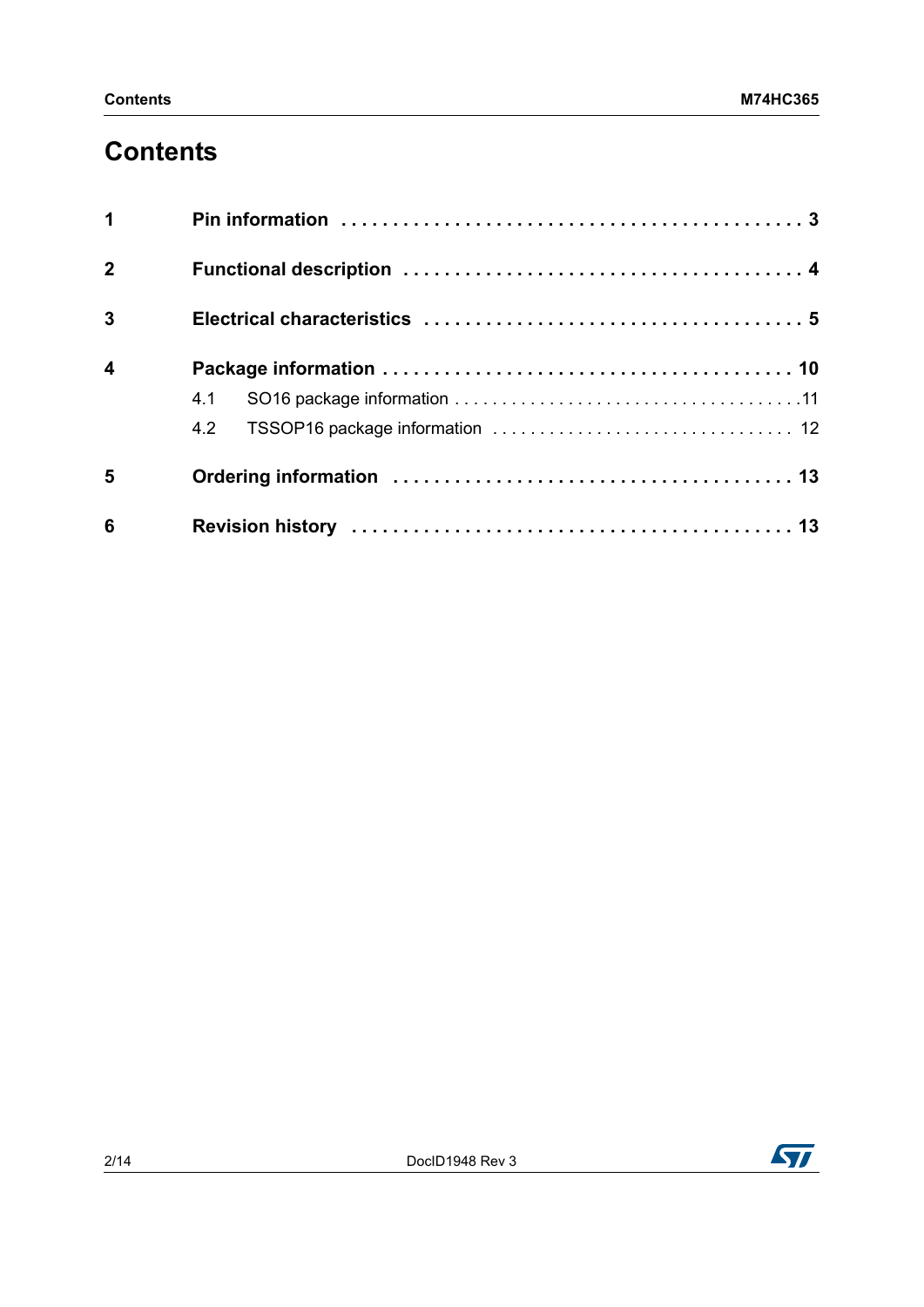## **Contents**

| $\blacktriangleleft$    |     |
|-------------------------|-----|
| $\overline{2}$          |     |
| $\overline{3}$          |     |
| $\overline{\mathbf{4}}$ |     |
|                         | 4.1 |
|                         | 4.2 |
| 5                       |     |
| 6                       |     |

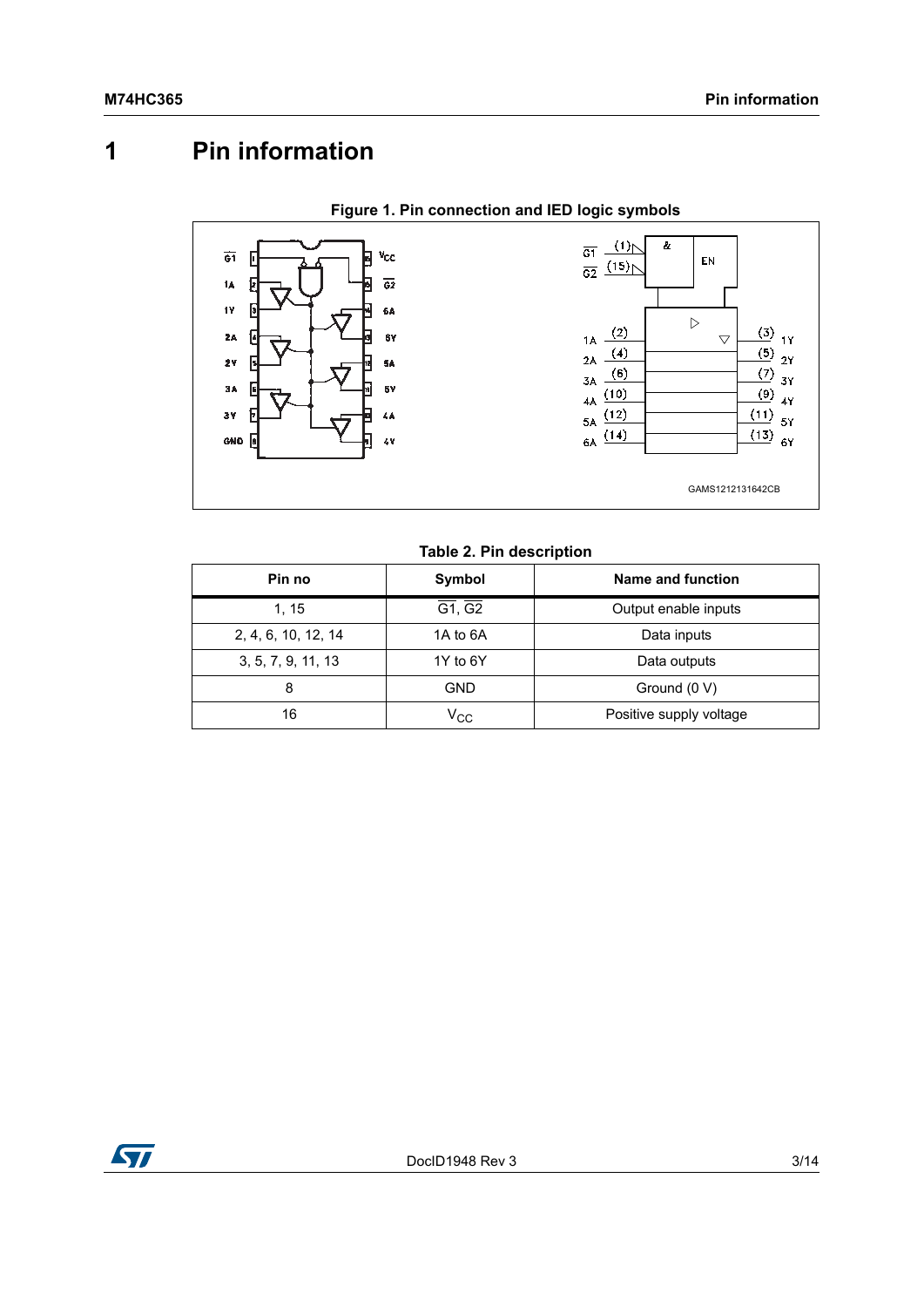# <span id="page-2-0"></span>**1 Pin information**



#### **Table 2. Pin description**

| Pin no              | Symbol                            | Name and function       |
|---------------------|-----------------------------------|-------------------------|
| 1, 15               | $\overline{G1}$ , $\overline{G2}$ | Output enable inputs    |
| 2, 4, 6, 10, 12, 14 | 1A to 6A                          | Data inputs             |
| 3, 5, 7, 9, 11, 13  | 1Y to 6Y                          | Data outputs            |
| 8                   | GND                               | Ground (0 V)            |
| 16                  | $\mathsf{v}_{\mathrm{cc}}$        | Positive supply voltage |

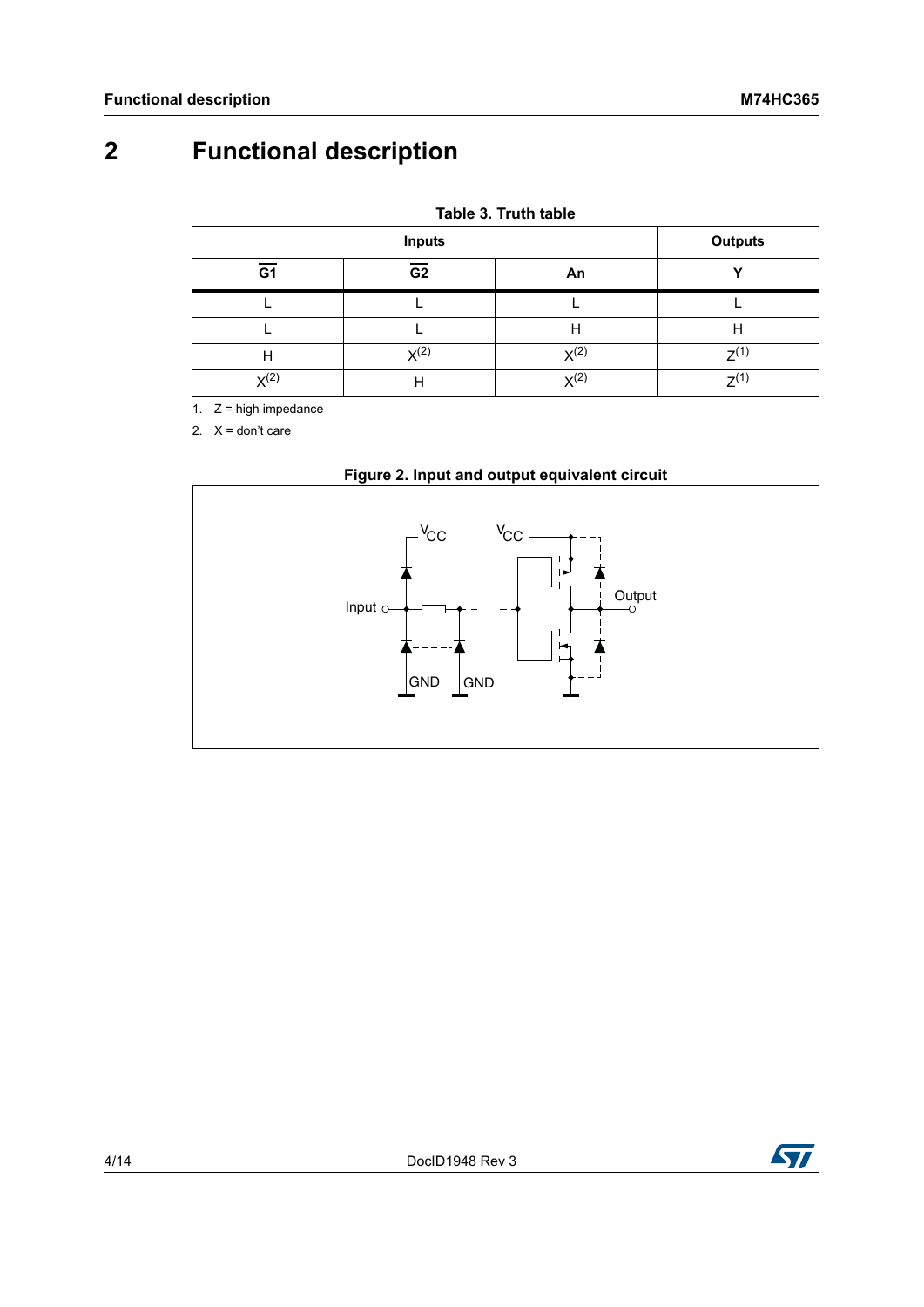# <span id="page-3-0"></span>**2 Functional description**

| Table 3. Truth table |  |  |
|----------------------|--|--|
|                      |  |  |

|                  | <b>Outputs</b>   |           |           |
|------------------|------------------|-----------|-----------|
| G <sub>1</sub>   | G <sub>2</sub>   | An        | `         |
|                  |                  |           |           |
|                  |                  | Н         | н         |
| Н                | X <sup>(2)</sup> | $X^{(2)}$ | $7^{(1)}$ |
| X <sup>(2)</sup> | п                | $X^{(2)}$ | $7^{(1)}$ |

<span id="page-3-2"></span>1.  $Z =$  high impedance

<span id="page-3-1"></span>2.  $X =$  don't care



### **Figure 2. Input and output equivalent circuit**

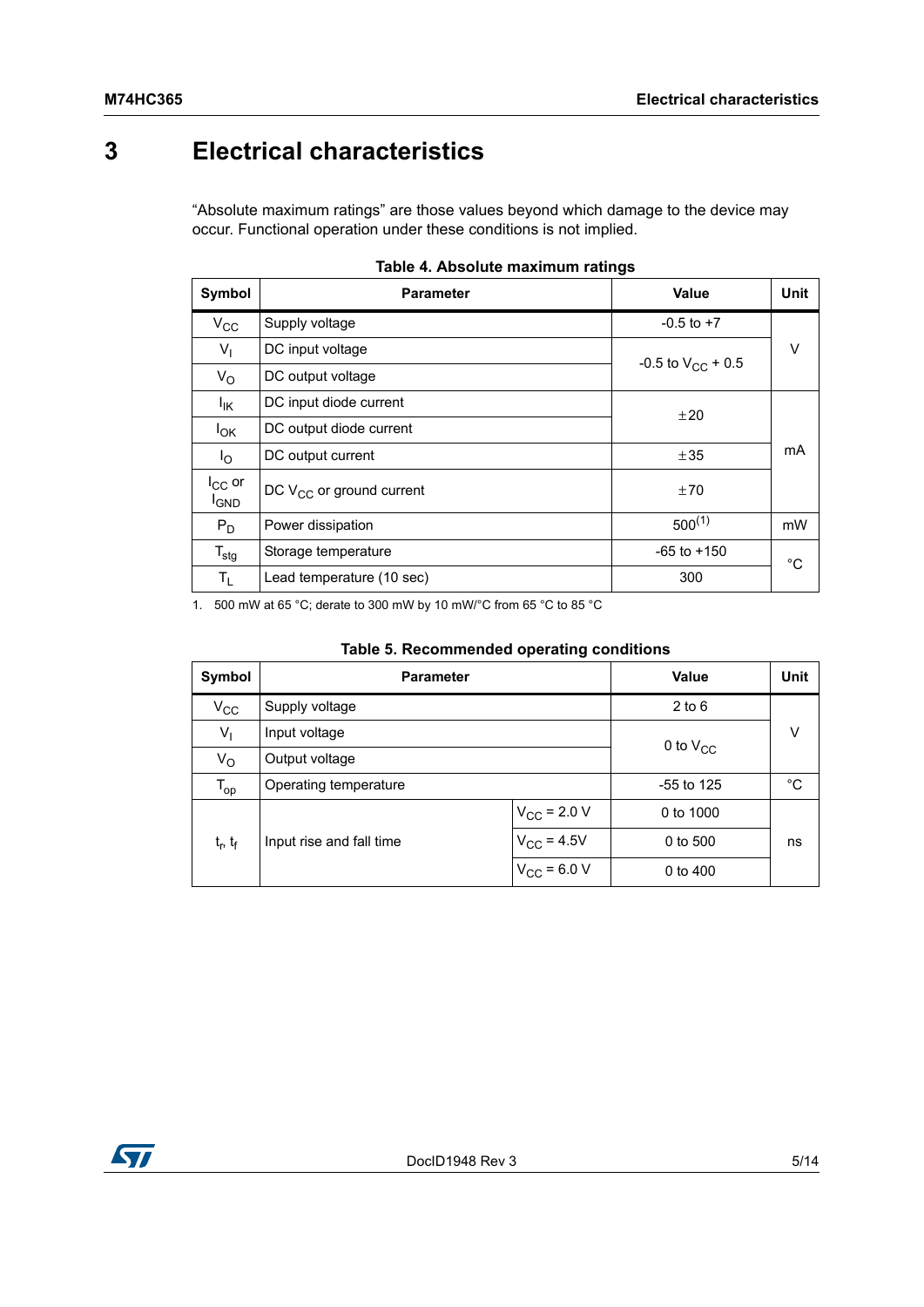## <span id="page-4-0"></span>**3 Electrical characteristics**

"Absolute maximum ratings" are those values beyond which damage to the device may occur. Functional operation under these conditions is not implied.

| Symbol                      | <b>Parameter</b>              | <b>Value</b>           | <b>Unit</b> |  |
|-----------------------------|-------------------------------|------------------------|-------------|--|
| $V_{\rm CC}$                | Supply voltage                | $-0.5$ to $+7$         |             |  |
| $V_{\parallel}$             | DC input voltage              | -0.5 to $V_{CC}$ + 0.5 | V           |  |
| $V_{\rm O}$                 | DC output voltage             |                        |             |  |
| lικ                         | DC input diode current        | ±20                    |             |  |
| $I_{OK}$                    | DC output diode current       |                        | mA          |  |
| $I_{\rm O}$                 | DC output current             | ±35                    |             |  |
| $I_{CC}$ or<br><b>I</b> GND | DC $V_{CC}$ or ground current | ±70                    |             |  |
| $P_D$                       | Power dissipation             | $500^{(1)}$            | mW          |  |
| $T_{\text{stg}}$            | Storage temperature           | $-65$ to $+150$        | $^{\circ}C$ |  |
| $T_{L}$                     | Lead temperature (10 sec)     | 300                    |             |  |

|  |  | Table 4. Absolute maximum ratings |  |
|--|--|-----------------------------------|--|
|--|--|-----------------------------------|--|

1. 500 mW at 65 °C; derate to 300 mW by 10 mW/°C from 65 °C to 85 °C

| Symbol            | <b>Parameter</b>         | Value                   | <b>Unit</b> |    |
|-------------------|--------------------------|-------------------------|-------------|----|
| $V_{\rm CC}$      | Supply voltage           |                         | $2$ to 6    |    |
| $V_{\parallel}$   | Input voltage            | 0 to $V_{CC}$           | v           |    |
| $V_{\rm O}$       | Output voltage           |                         |             |    |
| $T_{op}$          | Operating temperature    | $-55$ to 125            | °C          |    |
|                   |                          | $V_{\text{CC}}$ = 2.0 V | 0 to 1000   |    |
| $t_{r}$ , $t_{f}$ | Input rise and fall time | $V_{\rm CC} = 4.5V$     | 0 to 500    | ns |
|                   |                          | 0 to 400                |             |    |

| Table 5. Recommended operating conditions |  |  |
|-------------------------------------------|--|--|
|-------------------------------------------|--|--|

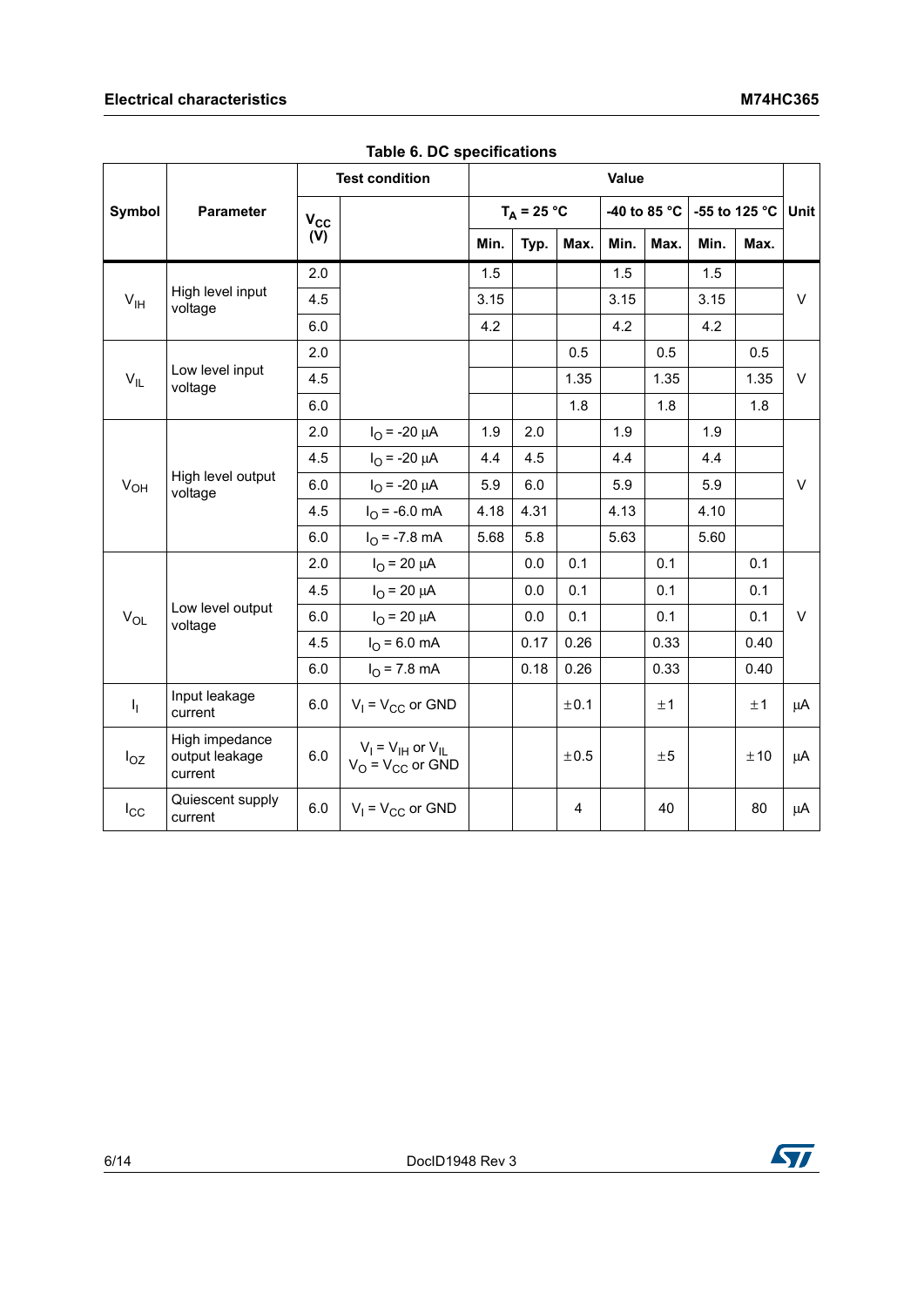### **Electrical characteristics** M74HC365

|                 |                                             | <b>Test condition</b> |                                                     | Value |               |      |      |              |      |               |        |
|-----------------|---------------------------------------------|-----------------------|-----------------------------------------------------|-------|---------------|------|------|--------------|------|---------------|--------|
| Symbol          | Parameter                                   | $V_{\rm CC}$          |                                                     |       | $T_A = 25 °C$ |      |      | -40 to 85 °C |      | -55 to 125 °C | Unit   |
|                 |                                             | (V)                   |                                                     | Min.  | Typ.          | Max. | Min. | Max.         | Min. | Max.          |        |
|                 |                                             | 2.0                   |                                                     | 1.5   |               |      | 1.5  |              | 1.5  |               |        |
| V <sub>IH</sub> | High level input<br>voltage                 | 4.5                   |                                                     | 3.15  |               |      | 3.15 |              | 3.15 |               | $\vee$ |
|                 |                                             | 6.0                   |                                                     | 4.2   |               |      | 4.2  |              | 4.2  |               |        |
|                 |                                             | 2.0                   |                                                     |       |               | 0.5  |      | 0.5          |      | 0.5           |        |
| $V_{IL}$        | Low level input<br>voltage                  | 4.5                   |                                                     |       |               | 1.35 |      | 1.35         |      | 1.35          | $\vee$ |
|                 |                                             | 6.0                   |                                                     |       |               | 1.8  |      | 1.8          |      | 1.8           |        |
|                 | High level output<br>voltage                | 2.0                   | $I_{\Omega}$ = -20 $\mu$ A                          | 1.9   | 2.0           |      | 1.9  |              | 1.9  |               |        |
|                 |                                             | 4.5                   | $I_{\Omega}$ = -20 $\mu$ A                          | 4.4   | 4.5           |      | 4.4  |              | 4.4  |               |        |
| $V_{OH}$        |                                             | 6.0                   | $I_{\Omega}$ = -20 $\mu$ A                          | 5.9   | 6.0           |      | 5.9  |              | 5.9  |               | V      |
|                 |                                             | 4.5                   | $I_{\Omega}$ = -6.0 mA                              | 4.18  | 4.31          |      | 4.13 |              | 4.10 |               |        |
|                 |                                             | 6.0                   | $IO = -7.8 mA$                                      | 5.68  | 5.8           |      | 5.63 |              | 5.60 |               |        |
|                 |                                             | 2.0                   | $I_{\rm O}$ = 20 $\mu$ A                            |       | 0.0           | 0.1  |      | 0.1          |      | 0.1           |        |
|                 |                                             | 4.5                   | $I_{\rm O}$ = 20 $\mu$ A                            |       | 0.0           | 0.1  |      | 0.1          |      | 0.1           |        |
| $V_{OL}$        | Low level output<br>voltage                 | 6.0                   | $I_{O}$ = 20 $\mu$ A                                |       | 0.0           | 0.1  |      | 0.1          |      | 0.1           | $\vee$ |
|                 |                                             | 4.5                   | $I_{O}$ = 6.0 mA                                    |       | 0.17          | 0.26 |      | 0.33         |      | 0.40          |        |
|                 |                                             | 6.0                   | $I_{O}$ = 7.8 mA                                    |       | 0.18          | 0.26 |      | 0.33         |      | 0.40          |        |
| $I_1$           | Input leakage<br>current                    | 6.0                   | $V_1 = V_{CC}$ or GND                               |       |               | ±0.1 |      | ±1           |      | ±1            | μA     |
| $I_{OZ}$        | High impedance<br>output leakage<br>current | 6.0                   | $V_1 = V_{1H}$ or $V_{1L}$<br>$V_O = V_{CC}$ or GND |       |               | ±0.5 |      | ±5           |      | ±10           | μA     |
| $I_{\rm CC}$    | Quiescent supply<br>current                 | 6.0                   | $V_1 = V_{CC}$ or GND                               |       |               | 4    |      | 40           |      | 80            | μA     |

**Table 6. DC specifications**

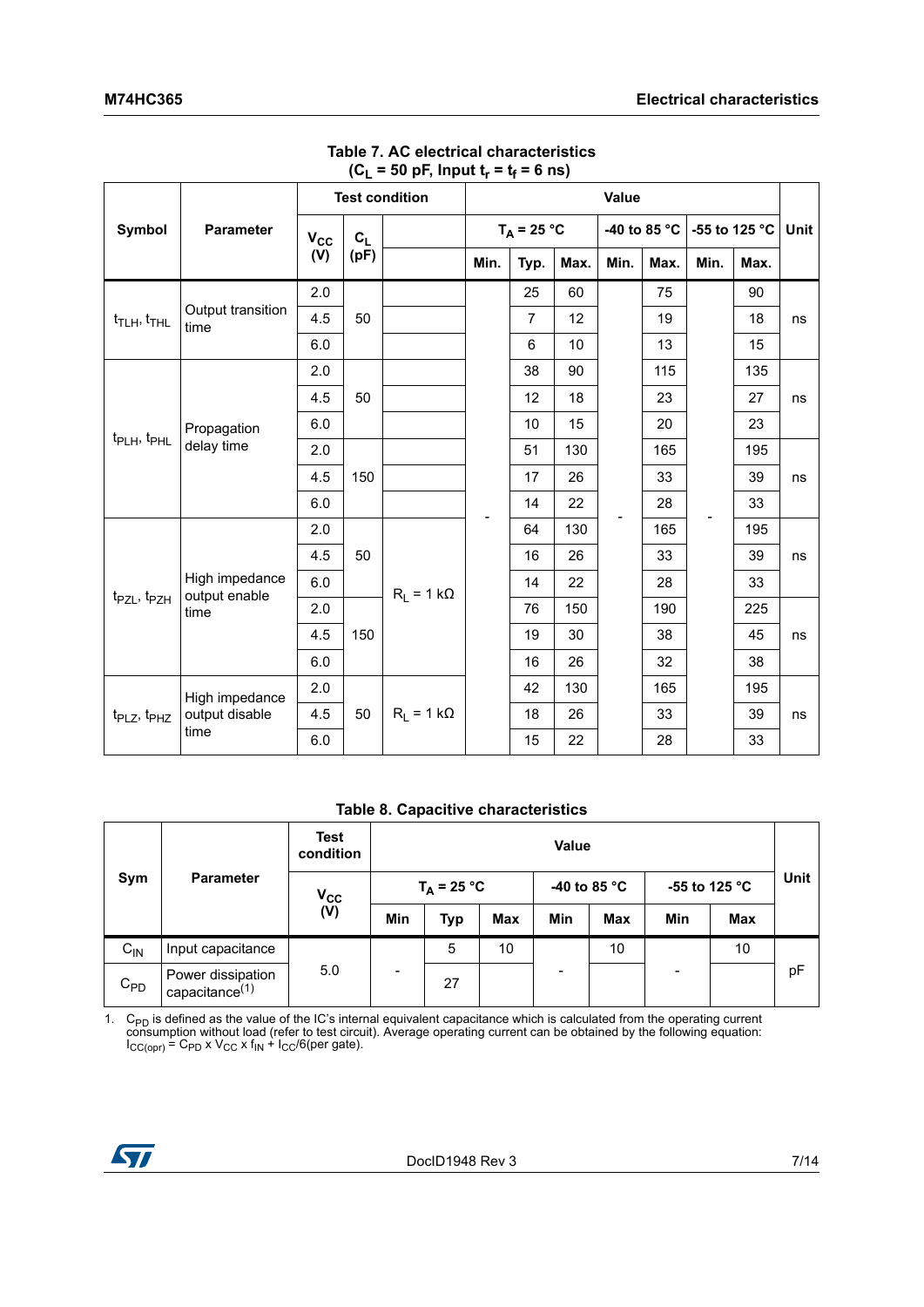| Symbol<br><b>Parameter</b>                  |                                 | <b>Test condition</b> |         |                   | Value |                |      |              |      |               |      |             |
|---------------------------------------------|---------------------------------|-----------------------|---------|-------------------|-------|----------------|------|--------------|------|---------------|------|-------------|
|                                             |                                 | $V_{CC}$              | $c_{L}$ |                   |       | $T_A = 25 °C$  |      | -40 to 85 °C |      | -55 to 125 °C |      | <b>Unit</b> |
|                                             |                                 | (V)                   | (pF)    |                   | Min.  | Typ.           | Max. | Min.         | Max. | Min.          | Max. |             |
|                                             |                                 | 2.0                   |         |                   |       | 25             | 60   |              | 75   |               | 90   |             |
| $t_{\text{TLH}}$ , $t_{\text{THL}}$         | Output transition<br>time       | 4.5                   | 50      |                   |       | $\overline{7}$ | 12   |              | 19   |               | 18   | ns          |
|                                             |                                 | 6.0                   |         |                   |       | $6\phantom{a}$ | 10   |              | 13   |               | 15   |             |
|                                             |                                 | 2.0                   |         |                   |       | 38             | 90   |              | 115  |               | 135  |             |
|                                             |                                 | 4.5                   | 50      |                   |       | 12             | 18   |              | 23   |               | 27   | ns          |
|                                             | Propagation                     | 6.0                   |         |                   |       | 10             | 15   |              | 20   |               | 23   |             |
| $t_{\sf PLH}$ , $t_{\sf PHL}$<br>delay time |                                 | 2.0                   |         |                   |       | 51             | 130  |              | 165  |               | 195  |             |
|                                             |                                 | 4.5                   | 150     |                   |       | 17             | 26   |              | 33   |               | 39   | ns          |
|                                             |                                 | 6.0                   |         |                   |       | 14             | 22   |              | 28   |               | 33   |             |
|                                             |                                 | 2.0                   |         |                   |       | 64             | 130  |              | 165  |               | 195  |             |
|                                             |                                 | 4.5                   | 50      |                   |       | 16             | 26   |              | 33   |               | 39   | ns          |
|                                             | High impedance<br>output enable | 6.0                   |         | $R_1 = 1 k\Omega$ |       | 14             | 22   |              | 28   |               | 33   |             |
| t <sub>PZL</sub> , t <sub>PZH</sub>         | time                            | 2.0                   |         |                   |       | 76             | 150  |              | 190  |               | 225  |             |
|                                             |                                 | 4.5                   | 150     |                   |       | 19             | 30   |              | 38   |               | 45   | ns          |
|                                             |                                 | 6.0                   |         |                   |       | 16             | 26   |              | 32   |               | 38   |             |
|                                             | High impedance                  | 2.0                   |         |                   |       | 42             | 130  |              | 165  |               | 195  |             |
| t <sub>PLZ</sub> , t <sub>PHZ</sub>         | output disable                  | 4.5                   | 50      | $R_1 = 1 k\Omega$ |       | 18             | 26   |              | 33   |               | 39   | ns          |
|                                             | time                            | 6.0                   |         |                   |       | 15             | 22   |              | 28   |               | 33   |             |

#### **Table 7. AC electrical characteristics**   $(C_L = 50 \text{ pF}, \text{Input } t_r = t_f = 6 \text{ ns})$

#### **Table 8. Capacitive characteristics**

|                         |                                        | <b>Test</b><br>condition |                          | <b>Value</b> |     |                       |            |               |     |             |
|-------------------------|----------------------------------------|--------------------------|--------------------------|--------------|-----|-----------------------|------------|---------------|-----|-------------|
| Sym<br><b>Parameter</b> |                                        | $V_{\rm CC}$             | $T_A = 25 °C$            |              |     | -40 to 85 $\degree$ C |            | -55 to 125 °C |     | <b>Unit</b> |
|                         |                                        | (V)                      | Min                      | <b>Typ</b>   | Max | Min                   | <b>Max</b> | Min           | Max |             |
| $C_{IN}$                | Input capacitance                      |                          |                          | 5            | 10  |                       | 10         |               | 10  |             |
| $C_{PD}$                | Power dissipation<br>capacitance $(1)$ | 5.0                      | $\overline{\phantom{a}}$ | 27           |     |                       |            |               |     | pF          |

1. C<sub>PD</sub> is defined as the value of the IC's internal equivalent capacitance which is calculated from the operating current consumption without load (refer to test circuit). Average operating current can be obtained by the  $I_{CC(opr)} = C_{PD} \times V_{CC} \times f_{IN} + I_{CC}/6$ (per gate).

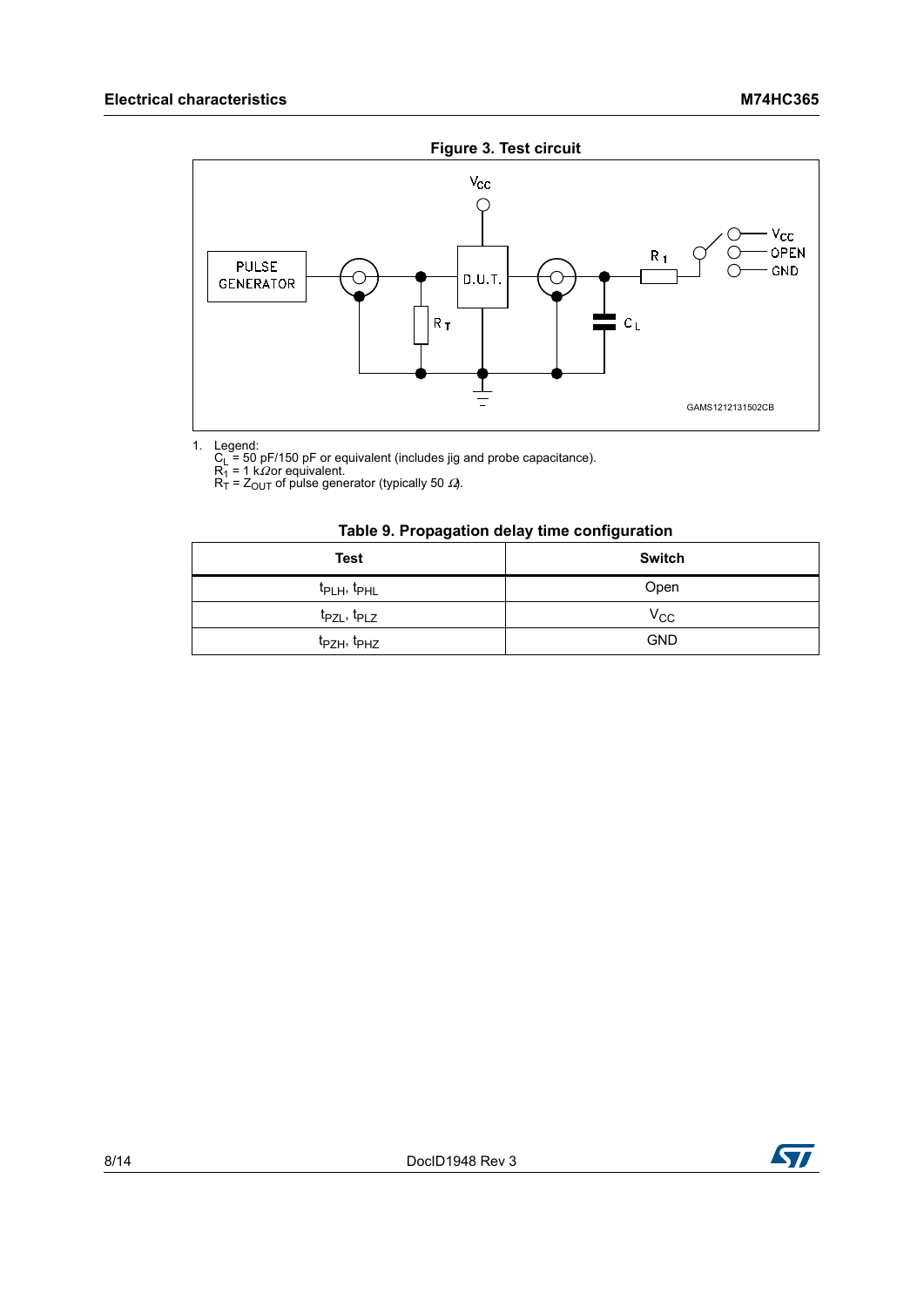

1. Legend:<br>
C<sub>L</sub> = 50 pF/150 pF or equivalent (includes jig and probe capacitance).<br>
R<sub>1</sub> = 1 kΩor equivalent.<br>
R<sub>T</sub> = Z<sub>OUT</sub> of pulse generator (typically 50 *Ω*).

#### **Table 9. Propagation delay time configuration**

| <b>Test</b>                         | <b>Switch</b> |
|-------------------------------------|---------------|
| t <sub>PLH</sub> , t <sub>PHL</sub> | Open          |
| t <sub>PZL</sub> , t <sub>PLZ</sub> | $V_{CC}$      |
| t <sub>PZH</sub> , t <sub>PHZ</sub> | <b>GND</b>    |

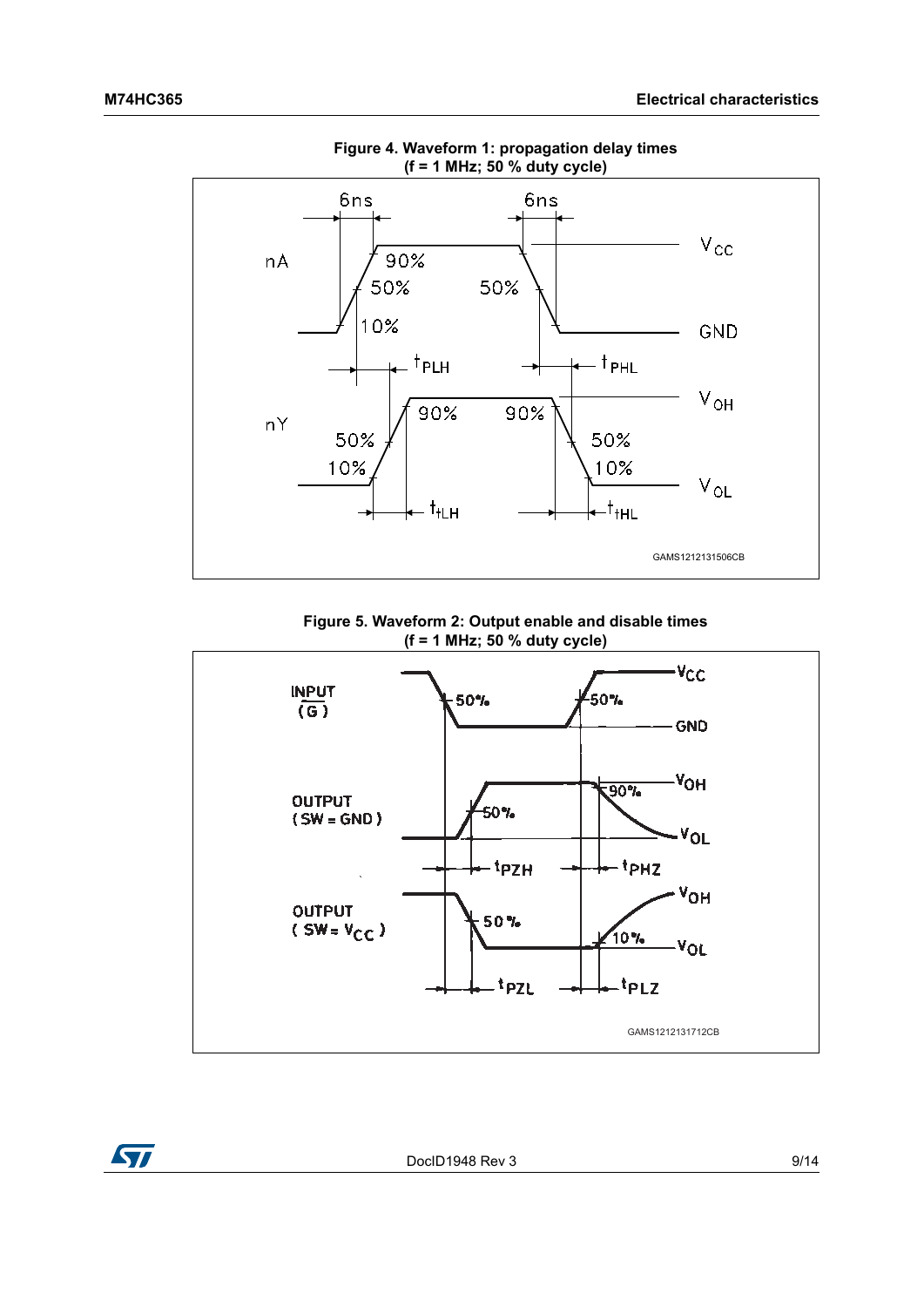

**Figure 4. Waveform 1: propagation delay times (f = 1 MHz; 50 % duty cycle)**

**Figure 5. Waveform 2: Output enable and disable times (f = 1 MHz; 50 % duty cycle)**



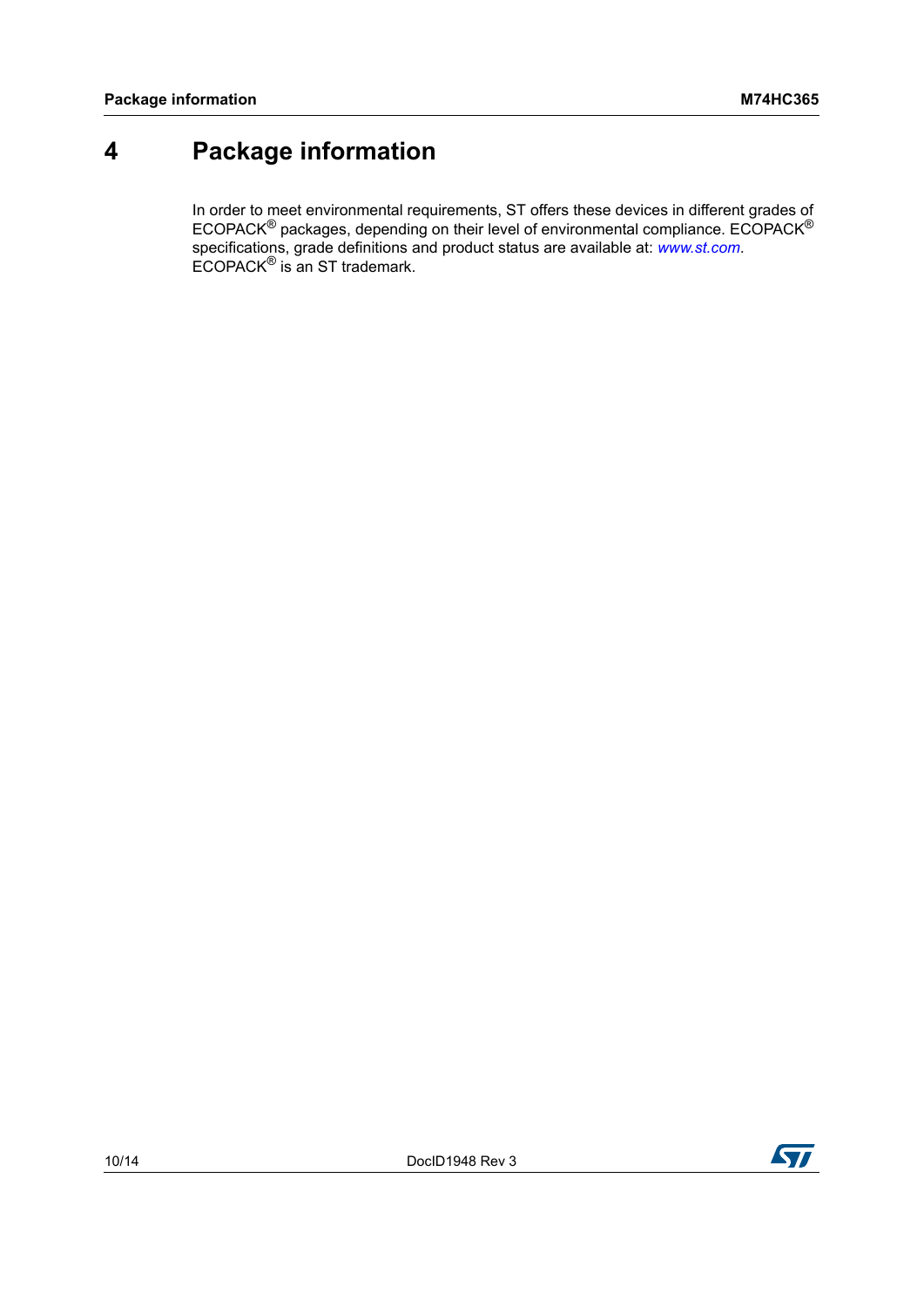## <span id="page-9-0"></span>**4 Package information**

In order to meet environmental requirements, ST offers these devices in different grades of ECOPACK<sup>®</sup> packages, depending on their level of environmental compliance. ECOPACK<sup>®</sup> specifications, grade definitions and product status are available at: *[www.st.com](http://www.st.com)*. ECOPACK® is an ST trademark.



**177**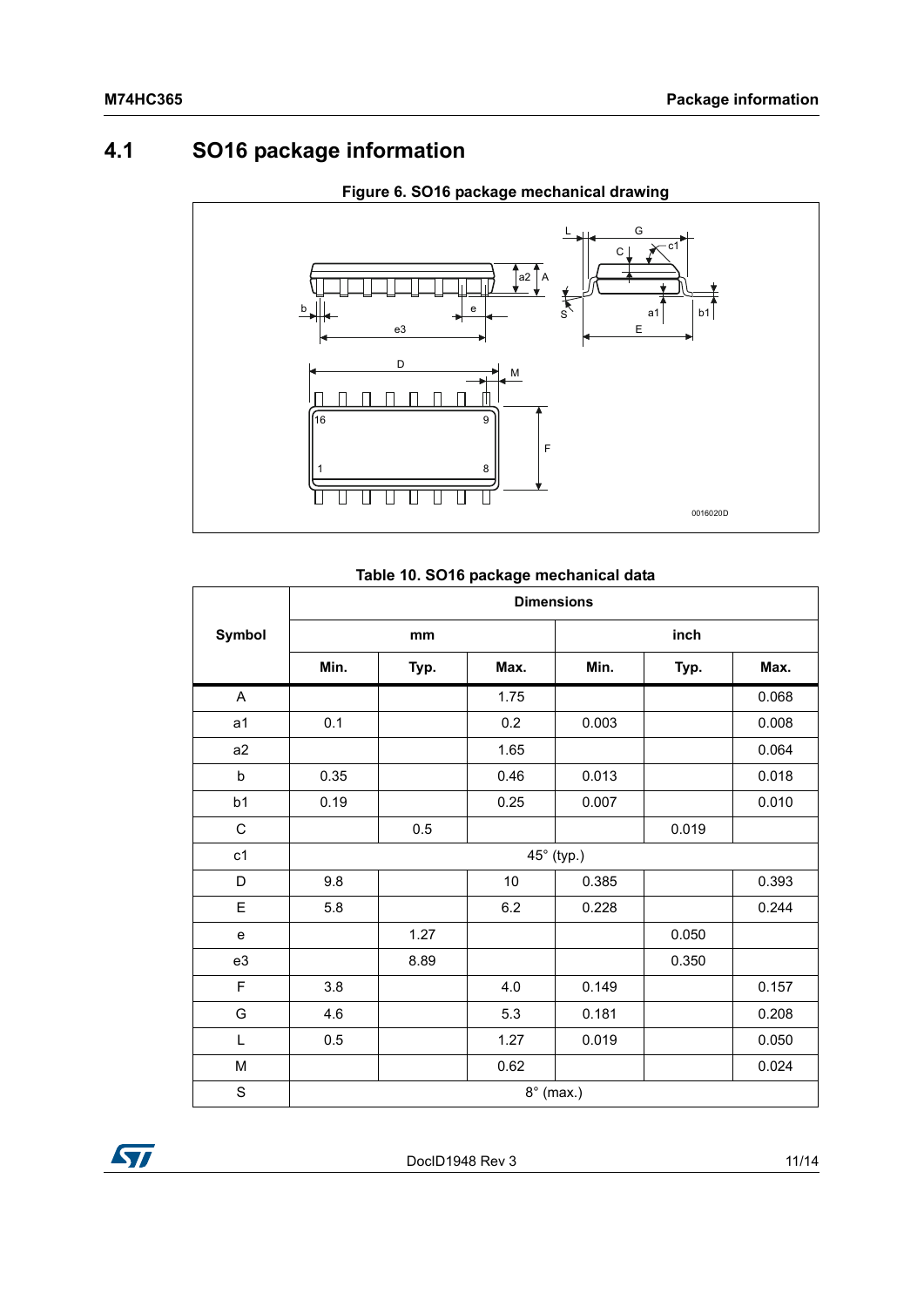## <span id="page-10-0"></span>**4.1 SO16 package information**



### **Figure 6. SO16 package mechanical drawing**

### **Table 10. SO16 package mechanical data**

|                | <b>Dimensions</b> |      |      |            |       |       |  |
|----------------|-------------------|------|------|------------|-------|-------|--|
| Symbol         |                   | mm   |      |            | inch  |       |  |
|                | Min.              | Typ. | Max. | Min.       | Typ.  | Max.  |  |
| A              |                   |      | 1.75 |            |       | 0.068 |  |
| a <sub>1</sub> | 0.1               |      | 0.2  | 0.003      |       | 0.008 |  |
| a2             |                   |      | 1.65 |            |       | 0.064 |  |
| b              | 0.35              |      | 0.46 | 0.013      |       | 0.018 |  |
| b1             | 0.19              |      | 0.25 | 0.007      |       | 0.010 |  |
| $\mathsf C$    |                   | 0.5  |      |            | 0.019 |       |  |
| c1             |                   |      |      | 45° (typ.) |       |       |  |
| D              | 9.8               |      | 10   | 0.385      |       | 0.393 |  |
| E              | 5.8               |      | 6.2  | 0.228      |       | 0.244 |  |
| ${\bf e}$      |                   | 1.27 |      |            | 0.050 |       |  |
| e3             |                   | 8.89 |      |            | 0.350 |       |  |
| F              | 3.8               |      | 4.0  | 0.149      |       | 0.157 |  |
| G              | 4.6               |      | 5.3  | 0.181      |       | 0.208 |  |
| L              | 0.5               |      | 1.27 | 0.019      |       | 0.050 |  |
| M              |                   |      | 0.62 |            |       | 0.024 |  |
| $\mathbf S$    | $8^\circ$ (max.)  |      |      |            |       |       |  |

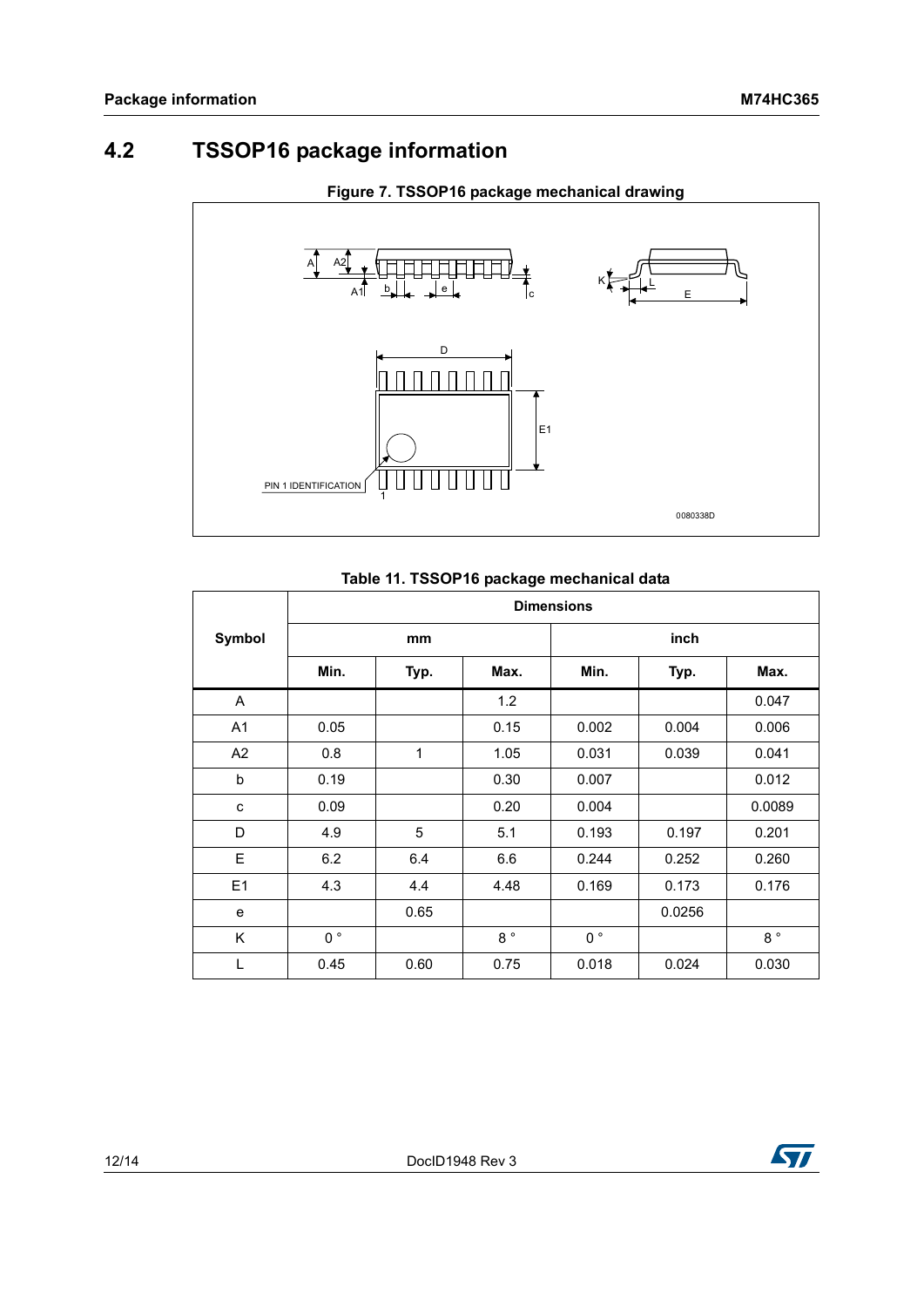### <span id="page-11-0"></span>**4.2 TSSOP16 package information**



### **Table 11. TSSOP16 package mechanical data**

|                | <b>Dimensions</b> |      |             |                |        |             |
|----------------|-------------------|------|-------------|----------------|--------|-------------|
| Symbol         |                   | mm   |             |                | inch   |             |
|                | Min.              | Typ. | Max.        | Min.           | Typ.   | Max.        |
| A              |                   |      | 1.2         |                |        | 0.047       |
| A <sub>1</sub> | 0.05              |      | 0.15        | 0.002          | 0.004  | 0.006       |
| A2             | 0.8               | 1    | 1.05        | 0.031          | 0.039  | 0.041       |
| b              | 0.19              |      | 0.30        | 0.007          |        | 0.012       |
| c              | 0.09              |      | 0.20        | 0.004          |        | 0.0089      |
| D              | 4.9               | 5    | 5.1         | 0.193          | 0.197  | 0.201       |
| E              | 6.2               | 6.4  | 6.6         | 0.244          | 0.252  | 0.260       |
| E1             | 4.3               | 4.4  | 4.48        | 0.169          | 0.173  | 0.176       |
| e              |                   | 0.65 |             |                | 0.0256 |             |
| K              | $0^{\circ}$       |      | $8^{\circ}$ | 0 <sup>°</sup> |        | $8^{\circ}$ |
| L              | 0.45              | 0.60 | 0.75        | 0.018          | 0.024  | 0.030       |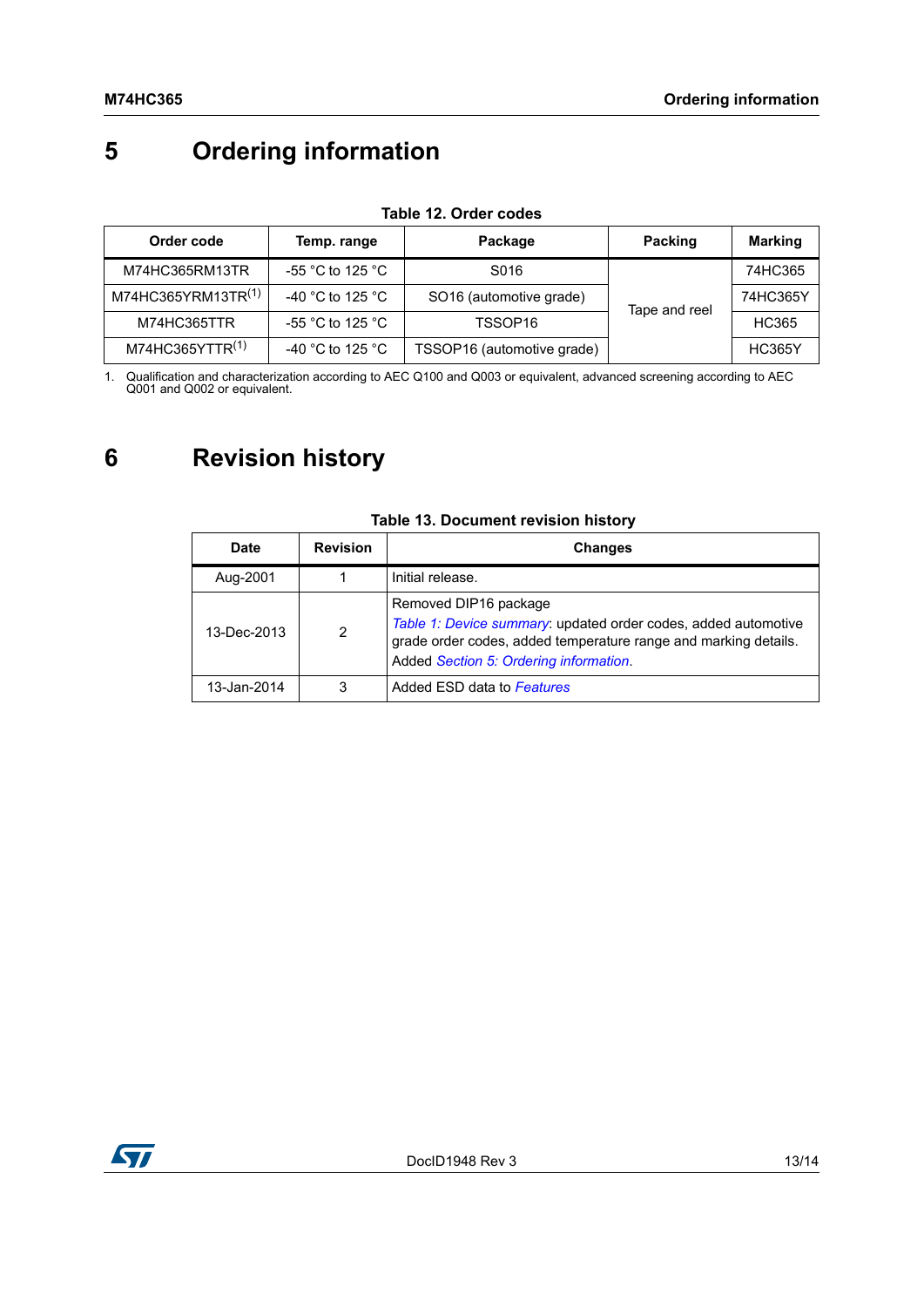# <span id="page-12-0"></span>**5 Ordering information**

| Order code                     | Temp. range                                                 | Package                                  | Packing | <b>Marking</b> |
|--------------------------------|-------------------------------------------------------------|------------------------------------------|---------|----------------|
| M74HC365RM13TR                 | -55 $^{\circ}$ C to 125 $^{\circ}$ C                        | S016                                     |         | 74HC365        |
| M74HC365YRM13TR <sup>(1)</sup> | -40 °C to 125 °C                                            | SO16 (automotive grade)<br>Tape and reel |         | 74HC365Y       |
| M74HC365TTR                    | -55 $^{\circ}$ C to 125 $^{\circ}$ C<br>TSSOP <sub>16</sub> |                                          |         | HC365          |
| M74HC365YTTR(1)                | -40 °C to 125 °C                                            | TSSOP16 (automotive grade)               |         | <b>HC365Y</b>  |

#### **Table 12. Order codes**

1. Qualification and characterization according to AEC Q100 and Q003 or equivalent, advanced screening according to AEC Q001 and Q002 or equivalent.

## <span id="page-12-1"></span>**6 Revision history**

| Date        | <b>Revision</b> | <b>Changes</b>                                                                                                                                                                                       |
|-------------|-----------------|------------------------------------------------------------------------------------------------------------------------------------------------------------------------------------------------------|
| Aug-2001    |                 | Initial release.                                                                                                                                                                                     |
| 13-Dec-2013 | 2               | Removed DIP16 package<br>Table 1: Device summary: updated order codes, added automotive<br>grade order codes, added temperature range and marking details.<br>Added Section 5: Ordering information. |
| 13-Jan-2014 | 3               | Added ESD data to Features                                                                                                                                                                           |

### **Table 13. Document revision history**